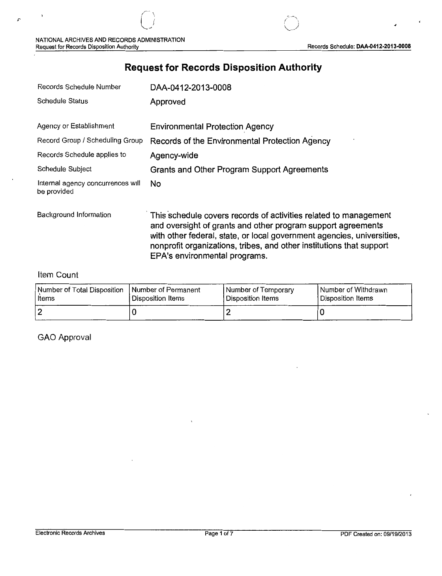# **Request for Records Disposition Authority**

| Records Schedule Number                          | DAA-0412-2013-0008                                                                                                                                                                                                                                                                                                  |
|--------------------------------------------------|---------------------------------------------------------------------------------------------------------------------------------------------------------------------------------------------------------------------------------------------------------------------------------------------------------------------|
| Schedule Status                                  | Approved                                                                                                                                                                                                                                                                                                            |
| Agency or Establishment                          | <b>Environmental Protection Agency</b>                                                                                                                                                                                                                                                                              |
| Record Group / Scheduling Group                  | Records of the Environmental Protection Agency                                                                                                                                                                                                                                                                      |
| Records Schedule applies to                      | Agency-wide                                                                                                                                                                                                                                                                                                         |
| Schedule Subject                                 | Grants and Other Program Support Agreements                                                                                                                                                                                                                                                                         |
| Internal agency concurrences will<br>be provided | <b>No</b>                                                                                                                                                                                                                                                                                                           |
| Background Information                           | This schedule covers records of activities related to management<br>and oversight of grants and other program support agreements<br>with other federal, state, or local government agencies, universities,<br>nonprofit organizations, tribes, and other institutions that support<br>EPA's environmental programs. |

### Item Count

 $\overline{C}$ 

| Number of Total Disposition   Number of Permanent | Disposition Items | Number of Temporary | Number of Withdrawn |
|---------------------------------------------------|-------------------|---------------------|---------------------|
| l Items                                           |                   | Disposition Items   | l Disposition Items |
| 2                                                 |                   |                     |                     |

GAO Approval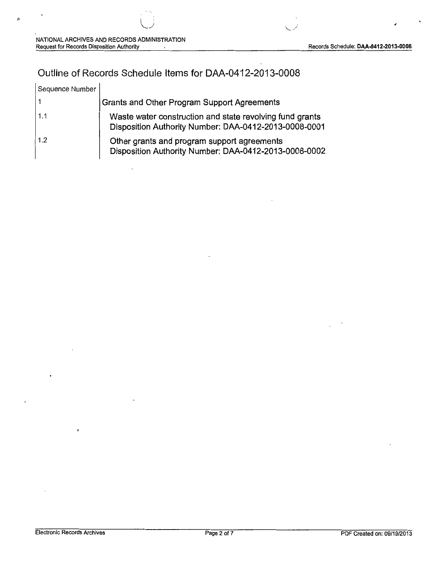## Outline of Records Schedule Items for DAA-0412-2013-0008

| Sequence Number |                                                                                                                   |
|-----------------|-------------------------------------------------------------------------------------------------------------------|
|                 | <b>Grants and Other Program Support Agreements</b>                                                                |
| 1.1             | Waste water construction and state revolving fund grants<br>Disposition Authority Number: DAA-0412-2013-0008-0001 |
| 1.2             | Other grants and program support agreements<br>Disposition Authority Number: DAA-0412-2013-0008-0002              |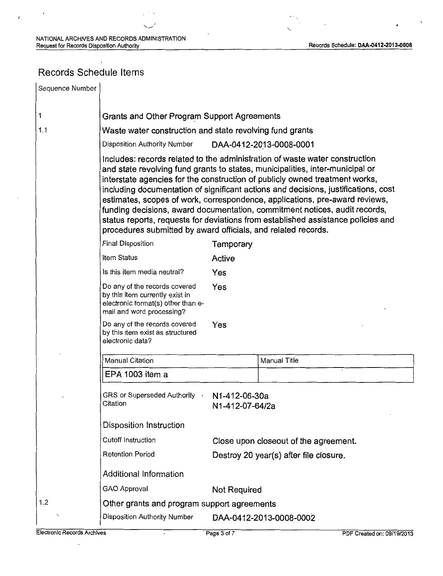## Records Schedule Items

 $\ddot{\phantom{0}}$ 

| Sequence Number |                                                                                                                                                                                                                                                                                                                                                                                                                                                                                                                                                                                                                                                                                                                                                                            |                     |                                       |  |
|-----------------|----------------------------------------------------------------------------------------------------------------------------------------------------------------------------------------------------------------------------------------------------------------------------------------------------------------------------------------------------------------------------------------------------------------------------------------------------------------------------------------------------------------------------------------------------------------------------------------------------------------------------------------------------------------------------------------------------------------------------------------------------------------------------|---------------------|---------------------------------------|--|
| 1               | Grants and Other Program Support Agreements                                                                                                                                                                                                                                                                                                                                                                                                                                                                                                                                                                                                                                                                                                                                |                     |                                       |  |
| 1.1             | Waste water construction and state revolving fund grants<br>Disposition Authority Number<br>DAA-0412-2013-0008-0001<br>Includes: records related to the administration of waste water construction<br>and state revolving fund grants to states, municipalities, inter-municipal or<br>interstate agencies for the construction of publicly owned treatment works,<br>including documentation of significant actions and decisions, justifications, cost<br>estimates, scopes of work, correspondence, applications, pre-award reviews,<br>funding decisions, award documentation, commitment notices, audit records,<br>status reports, requests for deviations from established assistance policies and<br>procedures submitted by award officials, and related records. |                     |                                       |  |
|                 |                                                                                                                                                                                                                                                                                                                                                                                                                                                                                                                                                                                                                                                                                                                                                                            |                     |                                       |  |
|                 |                                                                                                                                                                                                                                                                                                                                                                                                                                                                                                                                                                                                                                                                                                                                                                            |                     |                                       |  |
|                 | <b>Final Disposition</b>                                                                                                                                                                                                                                                                                                                                                                                                                                                                                                                                                                                                                                                                                                                                                   | Temporary           |                                       |  |
|                 | Item Status                                                                                                                                                                                                                                                                                                                                                                                                                                                                                                                                                                                                                                                                                                                                                                | Active              |                                       |  |
|                 | Is this item media neutral?                                                                                                                                                                                                                                                                                                                                                                                                                                                                                                                                                                                                                                                                                                                                                | Yes                 |                                       |  |
|                 | Do any of the records covered<br>by this item currently exist in<br>electronic format(s) other than e-<br>mail and word processing?                                                                                                                                                                                                                                                                                                                                                                                                                                                                                                                                                                                                                                        | Yes                 |                                       |  |
|                 | Do any of the records covered<br>by this item exist as structured<br>electronic data?                                                                                                                                                                                                                                                                                                                                                                                                                                                                                                                                                                                                                                                                                      | Yes                 |                                       |  |
|                 | Manual Citation                                                                                                                                                                                                                                                                                                                                                                                                                                                                                                                                                                                                                                                                                                                                                            |                     | Manual Title                          |  |
|                 | EPA 1003 item a                                                                                                                                                                                                                                                                                                                                                                                                                                                                                                                                                                                                                                                                                                                                                            |                     |                                       |  |
|                 | GRS or Superseded Authority .<br>N1-412-06-30a<br>Citation<br>N1-412-07-64/2a                                                                                                                                                                                                                                                                                                                                                                                                                                                                                                                                                                                                                                                                                              |                     |                                       |  |
|                 | Disposition Instruction                                                                                                                                                                                                                                                                                                                                                                                                                                                                                                                                                                                                                                                                                                                                                    |                     |                                       |  |
|                 | <b>Cutoff Instruction</b>                                                                                                                                                                                                                                                                                                                                                                                                                                                                                                                                                                                                                                                                                                                                                  |                     | Close upon closeout of the agreement. |  |
|                 | <b>Retention Period</b><br>Destroy 20 year(s) after file closure.                                                                                                                                                                                                                                                                                                                                                                                                                                                                                                                                                                                                                                                                                                          |                     |                                       |  |
|                 | <b>Additional Information</b>                                                                                                                                                                                                                                                                                                                                                                                                                                                                                                                                                                                                                                                                                                                                              |                     |                                       |  |
|                 | <b>GAO Approval</b>                                                                                                                                                                                                                                                                                                                                                                                                                                                                                                                                                                                                                                                                                                                                                        | <b>Not Required</b> |                                       |  |
| 1.2             | Other grants and program support agreements                                                                                                                                                                                                                                                                                                                                                                                                                                                                                                                                                                                                                                                                                                                                |                     |                                       |  |
|                 | <b>Disposition Authority Number</b>                                                                                                                                                                                                                                                                                                                                                                                                                                                                                                                                                                                                                                                                                                                                        |                     | DAA-0412-2013-0008-0002               |  |

 $\ddot{\phantom{a}}$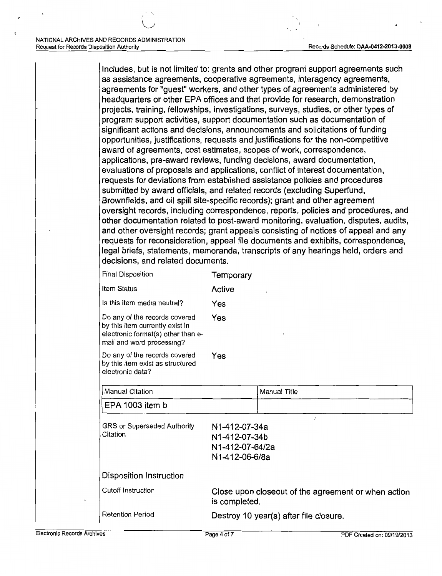Includes, but is not limited to: grants and other program support agreements such as assistance agreements, cooperative agreements, interagency agreements, agreements for "guest" workers, and other types of agreements administered by headquarters or other EPA offices and that provide for research, demonstration projects, training, fellowships, investigations, surveys, studies, or other types of program support activities, support documentation such as documentation of significant actions and decisions, announcements and solicitations of funding opportunities, justifications, requests and justifications for the non-competitive award of agreements, cost estimates, scopes of work, correspondence, applications, pre-award reviews, funding decisions, award documentation, evaluations of proposals and applications, conflict of interest documentation, requests for deviations from established assistance policies and procedures submitted by award officials, and related records (excluding Superfund, Brownfields, and oil spill site-specific records); grant and other agreement oversight records, including correspondence, reports, policies and procedures, and other documentation related to post-award monitoring, evaluation, disputes, audits, and other oversight records; grant appeals consisting of notices of appeal and any requests for reconsideration, appeal file documents and exhibits, correspondence, legal briefs, statements, memoranda, transcripts of any hearings held, orders and decisions, and related documents.

Final Disposition **Temporary** 

| Item Status                                                                                                                         | Active     |
|-------------------------------------------------------------------------------------------------------------------------------------|------------|
| Is this item media neutral?                                                                                                         | Yes        |
| Do any of the records covered<br>by this item currently exist in<br>electronic format(s) other than e-<br>mail and word processing? | Yes        |
| Do any of the records covered<br>by this item exist as structured<br>electronic data?                                               | Yes        |
| Manual Citation                                                                                                                     |            |
| EPA 1003 item b                                                                                                                     |            |
| GRS or Superseded Authority                                                                                                         | N1-412-07- |

GRS or Superseded Authority N1-412-07-34a Citation N1-412-07-34b N 1-412-07 -64/2a N 1-412-06-6/Ba Disposition Instruction Cutoff Instruction Close upon closeout of the agreement or when action is completed. Retention Period Destroy 10 year(s) after file closure.

Manual Title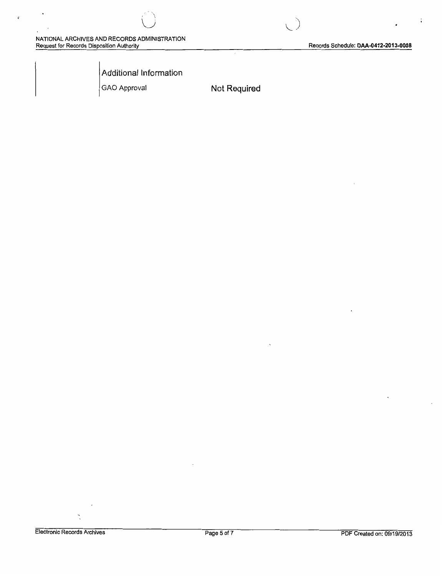$\ddot{\cdot}$ 

Additional Information

 $\angle$  '  $\searrow$  $\bigcup$ 

GAO Approval **Not Required** 

l,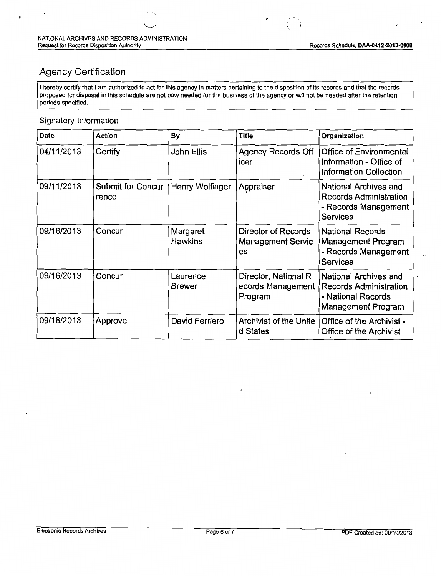( "' '- *)* 

### Agency Certification

I hereby certify that I am authorized to act for this agency in matters pertaining to the disposition of its records and that the records proposed for disposal in this schedule are not now needed for the business of the agency or wilt not be needed after the retention periods specified.

### Signatory Information

| Date       | Action                     | By                         | <b>Title</b>                                          | Organization                                                                                       |
|------------|----------------------------|----------------------------|-------------------------------------------------------|----------------------------------------------------------------------------------------------------|
| 04/11/2013 | Certify                    | John Ellis                 | <b>Agency Records Off</b><br>icer                     | Office of Environmental<br>Information - Office of<br><b>Information Collection</b>                |
| 09/11/2013 | Submit for Concur<br>rence | Henry Wolfinger            | Appraiser                                             | National Archives and<br><b>Records Administration</b><br>- Records Management<br><b>Services</b>  |
| 09/16/2013 | Concur                     | Margaret<br><b>Hawkins</b> | Director of Records<br><b>Management Servic</b><br>es | <b>National Records</b><br>Management Program<br>- Records Management<br><b>Services</b>           |
| 09/16/2013 | Concur                     | Laurence<br><b>Brewer</b>  | Director, National R<br>ecords Management<br>Program  | National Archives and<br><b>Records Administration</b><br>- National Records<br>Management Program |
| 09/18/2013 | Approve                    | David Ferriero             | Archivist of the Unite<br>d States                    | Office of the Archivist -<br>Office of the Archivist                                               |

ï